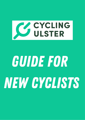

# Guide for new cyclists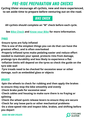# Pre-ride preparation and checks

**Cycling Ulster encourage all cyclists, new and more experienced, to set aside time to prepare before venturing out on the road.**

Bike check

**All cyclists should complete an "M" check before each cycle.**

**See Bike [Check](https://www.communitybikerides.ie/resources) and [Know](https://www.communitybikerides.ie/resources) your Bike for more information.**

## **TYRES**

**·Ensure tyres are fully inflated**

**·This is one of the simplest things you can do that can have the greatest effect, and is often overlooked**

**·Properly inflated tyres make pedaling easier and reduce effort needed to maintain your speed, protects rims from damage, prolongs tyre durability and less likely to experience a flat**

**·Inflation limits will depend on the tyres so check the guide on the tyre side wall**

**·Tyre treads need to be checked for excessive wear or other damage, such as embedded glass or objects**

## Brakes

**·Spin the wheels to check for rubbing and then apply the brakes to ensure they stop the bike smoothly and evenly**

- **·Check brake pads for excessive wear**
- **·Check cables and housing to make sure there is no fraying or splitting**
- **·Check the wheel quick release levers to ensure they are secure**
- **·Check for any loose parts or other mechanical problems**
- **·Do a slow-speed ride and inspect bike, brakes, and shifting before you depart**



Guide for new cyclists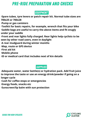# Pre-ride preparation and checks

# **EQUIPMENT**

**·Spare tubes, tyre levers or patch repair kit. Normal tube sizes are 700x25 or 700x28**

**·Pump or gas canisters**

**·Toolkit for basic repairs, for example, wrench that fits your bike ·Saddle bags are useful to carry the above items and fit snugly under your saddle**

**·Front and rear lights fully charged. Rear lights help cyclists to be seen by other road users, even in daylight**

- **·A rear mudguard during winter months**
- **·Map, route or GPS device**

**·First aid kit**

**·Mobile phone**

**·ID or medical card that includes next of kin details**

# Supplies

·**Adequate water, water bottle(s) or hydration pack. Add fruit juice to improve the taste or use an energy drink/powder if going on a longer cycle**

**·Cash for coffee stops or emergencies**

**·Energy foods, snacks etc**

**·Sunscreen/lip balm with sun protection**

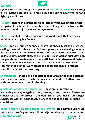

#### **CLOTHING**

**Cycling Ulster encourage all cyclists to** *'be safe be seen'* **by wearing hi-vis/bright clothing at all times, especially during poor weather and lighting conditions.**

**Helmet – ensure the straps are tight (can only get two fingers under straps) and the helmet is securely in place. As a guide the front of the helmet should sit just above your eyebrows**

**Gloves – padded to reduce pressure and road shock that can cause numbness or tingling fingers**

**Shoes – can be trainers or specialist cycling shoes. Most cyclists wear cycling shoes with cleats that fit into clipless pedals allowing them to lock into place. A simple twist to the foot releases the shoe from the pedal. Clipless pedals allow cyclists to pull up as well as push down on the pedals and create a much more efficient pedal stroke and faster speeds. Remember to check that cleats are not worn beyond the recommended limits. Worn cleats can cause the shoes to release from the pedal without warning**

**Shorts/tights – these have a special padded area in the seat designed specifically for cycling which is necessary for comfort. Both are worn without underwear to avoid chaffing**

**Sunglasses or other eye protection - these are important for protecting your eyes against wind, insects, stones, dirt etc. Make sure sunglasses are the correct fit and don't slip off your nose. You can get sunglasses with interchangeable lenses to adapt to different light conditions**

**Bespoke gear to protect against the elements. This may include hi-vis rain jacket, arm/leg warmers, thermal jackets/jerseys, overshoes etc**

Guide for new cyclists

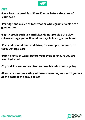

#### Food

·**Eat a healthy breakfast 30 to 60 mins before the start of your cycle**

**·Porridge and a slice of toast/oat or wholegrain cereals are a good option**

**·Light cereals such as cornflakes do not provide the slowrelease energy you will need for a cycle lasting a few hours**

**·Carry additional food and drink, for example, bananas, or cereal/energy bars**

**·Drink plenty of water before your cycle to ensure you are well hydrated**

**·Try to drink and eat as often as possible whilst out cycling**

**·If you are nervous eating while on the move, wait until you are at the back of the group to eat**

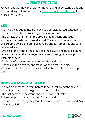# During the cycle

A cyclist should know the rules of the road and understand signs and road markings. Please refer to the [guide to cycling on the road](https://www.communitybikerides.ie/images/uploads/resources/Guide_to_cycling_1.pdf) for more information.

# Calls

·Alerting the group to hazards such as potholes/parked cars/debris on the road/traffic approaching is very important

·The cyclists at the front of the group should clearly and loudly announce hazards on the road ahead. These are announced early so the group is aware of potential dangers and can smoothly and safely take evasive action.

·Cyclists at the front of the group call the hazard and people behind repeat the call so the message gets passed through the group. Example of calls

·"Hole on left" means pothole on the left-hand side

·"Stones on the right" means stones on the right-hand side

·"Gravel in middle" means loose gravel in the middle of the groups path

## Moving cars approaching the group

·If a car is approaching from behind (or a car following the group is beginning to overtake the group) "car up" is called ·The last person in the group should be aware of traffic following/approaching the group from behind ·If a car is approaching the group from in front on a narrow road: "car down" is called

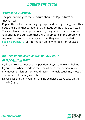# During the cycle

## Puncture or mechanical

·The person who gets the puncture should call "puncture" or "mechanical"

·Repeat the call so the message gets passed through the group. This alerts the group that someone has an issue so the group can stop ·The call also alerts people who are cycling behind the person that has suffered the puncture that there is someone in the group who may need to stop immediately and that they need to be alert [·See Fix a Puncture](https://www.communitybikerides.ie/images/uploads/resources/Puncture_Repair.pdf) for information on how to repair or replace a tube

# Cycle two by two/don't overlap the rear wheel of the cyclist in front

·Cyclist in front cannot see the position of cyclist following behind ·If your front wheel overlaps the rear wheel of the person in front, any movement left or right could result in wheels touching, a loss of balance and ultimately a crash

·Never pass another cyclist on the inside (left), always pass on the outside (right)

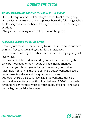# During the cycle

## Avoid freewheeling when at the front of the group

·It usually requires more effort to cycle at the front of the group ·If a cyclist at the front of the group freewheels the following cyclists could easily run into the back of the cyclist at the front, causing an accident

·Always keep pedaling when at the front of the group

## Gears and Cadence (pedaling speed)

·Lower gears make the pedals easy to turn, so it becomes easier to spin to a fast cadence and cycle for longer distances ·Pedal faster in a low gear, rather than 'harder' in a high gear, you'll last longer!

·Find a comfortable cadence and try to maintain this during the cycle by moving up or down gears as road incline changes ·Over time you should gradually try to increase your cadence ·Most new riders think they are getting a better workout if every pedal stoke is a strain and the quads are burning ·Although there's a place for low-cadence workouts, during a normal ride, aim for a smooth spin at between 80-100 rpm (pedal revolutions per minute) which is much more efficient -- and easier on the legs, especially the knees

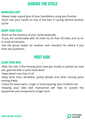# DUring the cycle

#### Handlebar grip

·Always keep a good grip of your handlebars using you thumbs ·Don't rest your hands on top of the bars if cycling behind another cyclist

#### Enjoy your cycle

·Build up the distance of your cycles gradually

·If you are comfortable with 20 miles try 25 then 30 miles and so on in small increments

·Ask the group leader (or another club member) for advice if you have any questions

# Post ride

## Clean Your Bike!

·After the ride, if the moving parts have got muddy or picked up road salt, give the bike a quick hose down

·Keep wheel rims free of oil

·Keep drive train, derailleur, jockey wheels and other moving parts moving freely

·Check for loose parts, rough or loose bearing, tyre condition etc ·Keeping your bike well maintained will help to sustain the equipment and components longer term